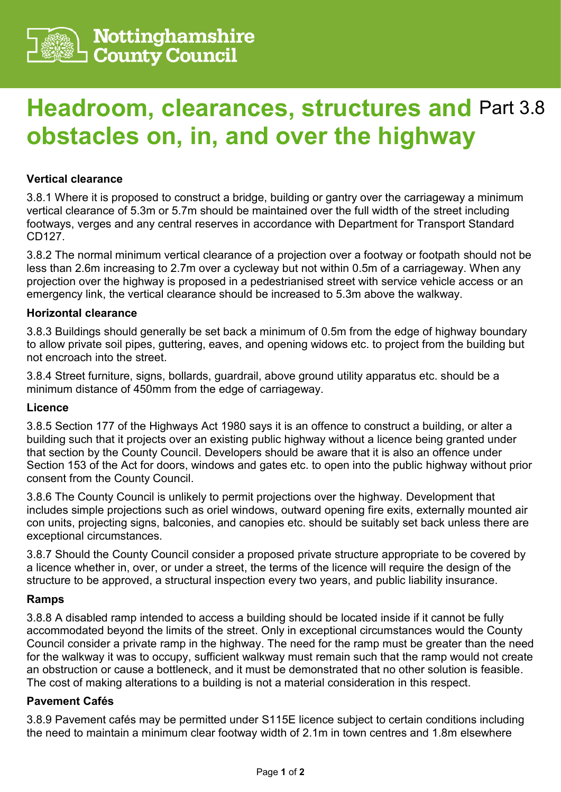

# **Headroom, clearances, structures and**  Part 3.8**obstacles on, in, and over the highway**

## **Vertical clearance**

3.8.1 Where it is proposed to construct a bridge, building or gantry over the carriageway a minimum vertical clearance of 5.3m or 5.7m should be maintained over the full width of the street including footways, verges and any central reserves in accordance with Department for Transport Standard CD127.

3.8.2 The normal minimum vertical clearance of a projection over a footway or footpath should not be less than 2.6m increasing to 2.7m over a cycleway but not within 0.5m of a carriageway. When any projection over the highway is proposed in a pedestrianised street with service vehicle access or an emergency link, the vertical clearance should be increased to 5.3m above the walkway.

## **Horizontal clearance**

3.8.3 Buildings should generally be set back a minimum of 0.5m from the edge of highway boundary to allow private soil pipes, guttering, eaves, and opening widows etc. to project from the building but not encroach into the street.

3.8.4 Street furniture, signs, bollards, guardrail, above ground utility apparatus etc. should be a minimum distance of 450mm from the edge of carriageway.

#### **Licence**

3.8.5 Section 177 of the Highways Act 1980 says it is an offence to construct a building, or alter a building such that it projects over an existing public highway without a licence being granted under that section by the County Council. Developers should be aware that it is also an offence under Section 153 of the Act for doors, windows and gates etc. to open into the public highway without prior consent from the County Council.

3.8.6 The County Council is unlikely to permit projections over the highway. Development that includes simple projections such as oriel windows, outward opening fire exits, externally mounted air con units, projecting signs, balconies, and canopies etc. should be suitably set back unless there are exceptional circumstances.

3.8.7 Should the County Council consider a proposed private structure appropriate to be covered by a licence whether in, over, or under a street, the terms of the licence will require the design of the structure to be approved, a structural inspection every two years, and public liability insurance.

## **Ramps**

3.8.8 A disabled ramp intended to access a building should be located inside if it cannot be fully accommodated beyond the limits of the street. Only in exceptional circumstances would the County Council consider a private ramp in the highway. The need for the ramp must be greater than the need for the walkway it was to occupy, sufficient walkway must remain such that the ramp would not create an obstruction or cause a bottleneck, and it must be demonstrated that no other solution is feasible. The cost of making alterations to a building is not a material consideration in this respect.

## **Pavement Cafés**

3.8.9 Pavement cafés may be permitted under S115E licence subject to certain conditions including the need to maintain a minimum clear footway width of 2.1m in town centres and 1.8m elsewhere